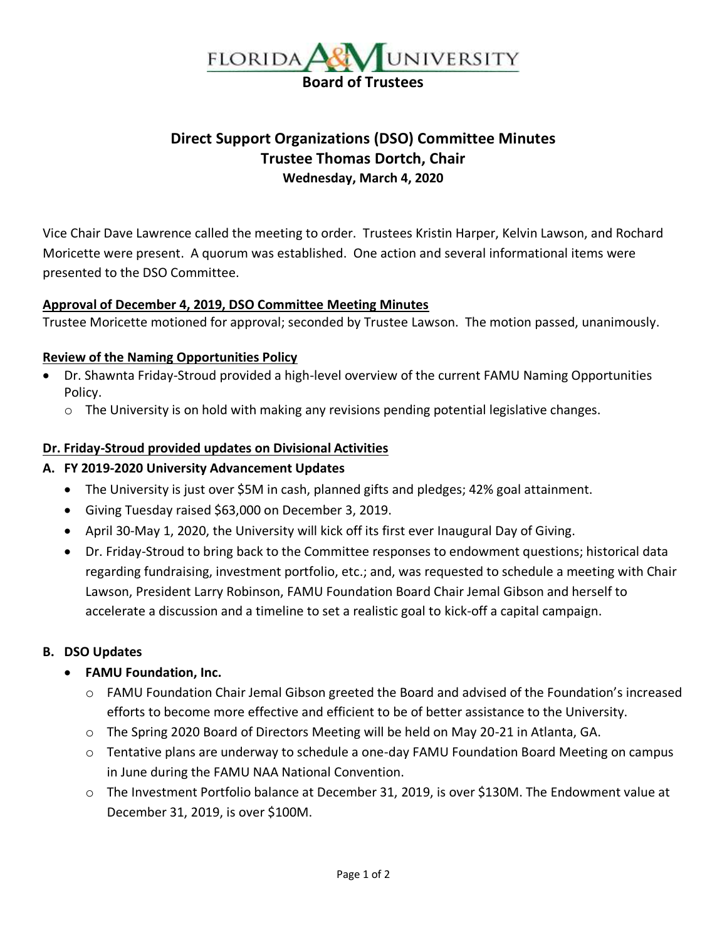

# **Direct Support Organizations (DSO) Committee Minutes Trustee Thomas Dortch, Chair Wednesday, March 4, 2020**

Vice Chair Dave Lawrence called the meeting to order. Trustees Kristin Harper, Kelvin Lawson, and Rochard Moricette were present. A quorum was established. One action and several informational items were presented to the DSO Committee.

#### **Approval of December 4, 2019, DSO Committee Meeting Minutes**

Trustee Moricette motioned for approval; seconded by Trustee Lawson. The motion passed, unanimously.

#### **Review of the Naming Opportunities Policy**

- Dr. Shawnta Friday-Stroud provided a high-level overview of the current FAMU Naming Opportunities Policy.
	- $\circ$  The University is on hold with making any revisions pending potential legislative changes.

#### **Dr. Friday-Stroud provided updates on Divisional Activities**

#### **A. FY 2019-2020 University Advancement Updates**

- The University is just over \$5M in cash, planned gifts and pledges; 42% goal attainment.
- Giving Tuesday raised \$63,000 on December 3, 2019.
- April 30-May 1, 2020, the University will kick off its first ever Inaugural Day of Giving.
- Dr. Friday-Stroud to bring back to the Committee responses to endowment questions; historical data regarding fundraising, investment portfolio, etc.; and, was requested to schedule a meeting with Chair Lawson, President Larry Robinson, FAMU Foundation Board Chair Jemal Gibson and herself to accelerate a discussion and a timeline to set a realistic goal to kick-off a capital campaign.

## **B. DSO Updates**

## • **FAMU Foundation, Inc.**

- o FAMU Foundation Chair Jemal Gibson greeted the Board and advised of the Foundation's increased efforts to become more effective and efficient to be of better assistance to the University.
- $\circ$  The Spring 2020 Board of Directors Meeting will be held on May 20-21 in Atlanta, GA.
- o Tentative plans are underway to schedule a one-day FAMU Foundation Board Meeting on campus in June during the FAMU NAA National Convention.
- o The Investment Portfolio balance at December 31, 2019, is over \$130M. The Endowment value at December 31, 2019, is over \$100M.